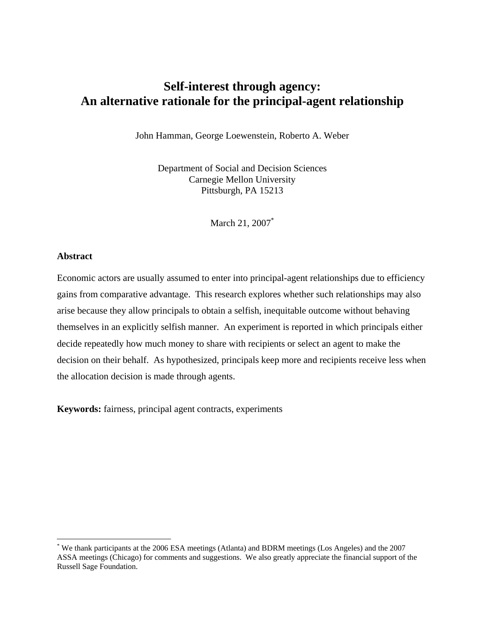# **Self-interest through agency: An alternative rationale for the principal-agent relationship**

John Hamman, George Loewenstein, Roberto A. Weber

Department of Social and Decision Sciences Carnegie Mellon University Pittsburgh, PA 15213

March 21, 2007<sup>\*</sup>

#### **Abstract**

 $\overline{a}$ 

Economic actors are usually assumed to enter into principal-agent relationships due to efficiency gains from comparative advantage. This research explores whether such relationships may also arise because they allow principals to obtain a selfish, inequitable outcome without behaving themselves in an explicitly selfish manner. An experiment is reported in which principals either decide repeatedly how much money to share with recipients or select an agent to make the decision on their behalf. As hypothesized, principals keep more and recipients receive less when the allocation decision is made through agents.

**Keywords:** fairness, principal agent contracts, experiments

<sup>\*</sup> We thank participants at the 2006 ESA meetings (Atlanta) and BDRM meetings (Los Angeles) and the 2007 ASSA meetings (Chicago) for comments and suggestions. We also greatly appreciate the financial support of the Russell Sage Foundation.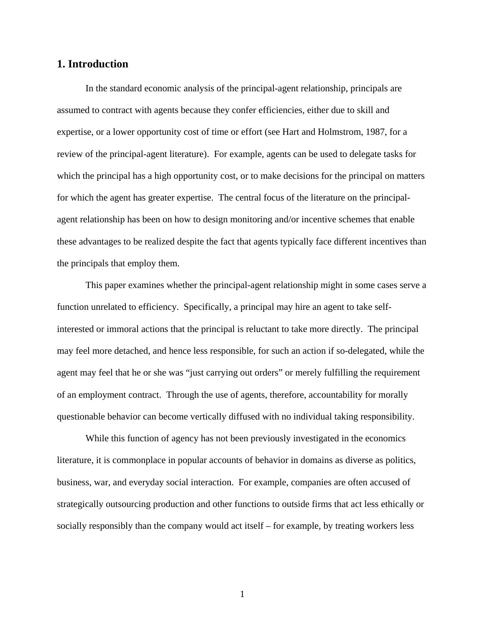# **1. Introduction**

In the standard economic analysis of the principal-agent relationship, principals are assumed to contract with agents because they confer efficiencies, either due to skill and expertise, or a lower opportunity cost of time or effort (see Hart and Holmstrom, 1987, for a review of the principal-agent literature). For example, agents can be used to delegate tasks for which the principal has a high opportunity cost, or to make decisions for the principal on matters for which the agent has greater expertise. The central focus of the literature on the principalagent relationship has been on how to design monitoring and/or incentive schemes that enable these advantages to be realized despite the fact that agents typically face different incentives than the principals that employ them.

 This paper examines whether the principal-agent relationship might in some cases serve a function unrelated to efficiency. Specifically, a principal may hire an agent to take selfinterested or immoral actions that the principal is reluctant to take more directly. The principal may feel more detached, and hence less responsible, for such an action if so-delegated, while the agent may feel that he or she was "just carrying out orders" or merely fulfilling the requirement of an employment contract. Through the use of agents, therefore, accountability for morally questionable behavior can become vertically diffused with no individual taking responsibility.

 While this function of agency has not been previously investigated in the economics literature, it is commonplace in popular accounts of behavior in domains as diverse as politics, business, war, and everyday social interaction. For example, companies are often accused of strategically outsourcing production and other functions to outside firms that act less ethically or socially responsibly than the company would act itself – for example, by treating workers less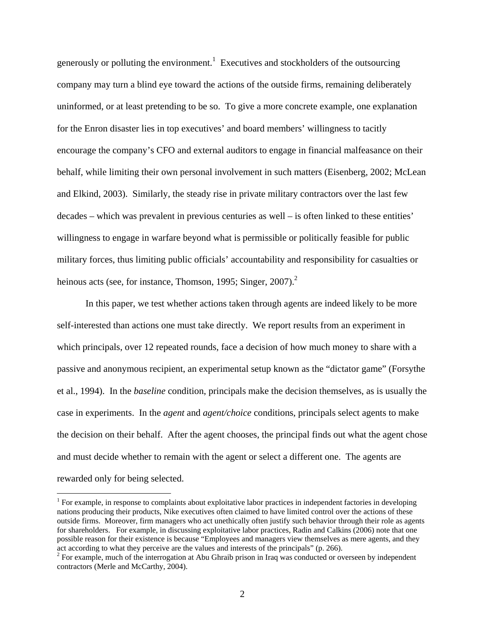generously or polluting the environment.<sup>1</sup> Executives and stockholders of the outsourcing company may turn a blind eye toward the actions of the outside firms, remaining deliberately uninformed, or at least pretending to be so. To give a more concrete example, one explanation for the Enron disaster lies in top executives' and board members' willingness to tacitly encourage the company's CFO and external auditors to engage in financial malfeasance on their behalf, while limiting their own personal involvement in such matters (Eisenberg, 2002; McLean and Elkind, 2003). Similarly, the steady rise in private military contractors over the last few decades – which was prevalent in previous centuries as well – is often linked to these entities' willingness to engage in warfare beyond what is permissible or politically feasible for public military forces, thus limiting public officials' accountability and responsibility for casualties or heinous acts (see, for instance, Thomson, 1995; Singer, 2007).<sup>2</sup>

 In this paper, we test whether actions taken through agents are indeed likely to be more self-interested than actions one must take directly. We report results from an experiment in which principals, over 12 repeated rounds, face a decision of how much money to share with a passive and anonymous recipient, an experimental setup known as the "dictator game" (Forsythe et al., 1994). In the *baseline* condition, principals make the decision themselves, as is usually the case in experiments. In the *agent* and *agent/choice* conditions, principals select agents to make the decision on their behalf. After the agent chooses, the principal finds out what the agent chose and must decide whether to remain with the agent or select a different one. The agents are rewarded only for being selected.

 $1$  For example, in response to complaints about exploitative labor practices in independent factories in developing nations producing their products, Nike executives often claimed to have limited control over the actions of these outside firms. Moreover, firm managers who act unethically often justify such behavior through their role as agents for shareholders. For example, in discussing exploitative labor practices, Radin and Calkins (2006) note that one possible reason for their existence is because "Employees and managers view themselves as mere agents, and they act according to what they perceive are the values and interests of the principals" (p. 266).

<sup>&</sup>lt;sup>2</sup> For example, much of the interrogation at Abu Ghraib prison in Iraq was conducted or overseen by independent contractors (Merle and McCarthy, 2004).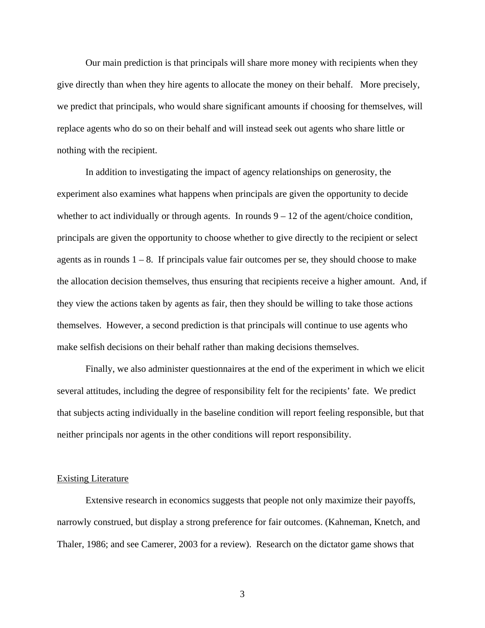Our main prediction is that principals will share more money with recipients when they give directly than when they hire agents to allocate the money on their behalf. More precisely, we predict that principals, who would share significant amounts if choosing for themselves, will replace agents who do so on their behalf and will instead seek out agents who share little or nothing with the recipient.

 In addition to investigating the impact of agency relationships on generosity, the experiment also examines what happens when principals are given the opportunity to decide whether to act individually or through agents. In rounds  $9 - 12$  of the agent/choice condition, principals are given the opportunity to choose whether to give directly to the recipient or select agents as in rounds  $1 - 8$ . If principals value fair outcomes per se, they should choose to make the allocation decision themselves, thus ensuring that recipients receive a higher amount. And, if they view the actions taken by agents as fair, then they should be willing to take those actions themselves. However, a second prediction is that principals will continue to use agents who make selfish decisions on their behalf rather than making decisions themselves.

 Finally, we also administer questionnaires at the end of the experiment in which we elicit several attitudes, including the degree of responsibility felt for the recipients' fate. We predict that subjects acting individually in the baseline condition will report feeling responsible, but that neither principals nor agents in the other conditions will report responsibility.

#### Existing Literature

Extensive research in economics suggests that people not only maximize their payoffs, narrowly construed, but display a strong preference for fair outcomes. (Kahneman, Knetch, and Thaler, 1986; and see Camerer, 2003 for a review). Research on the dictator game shows that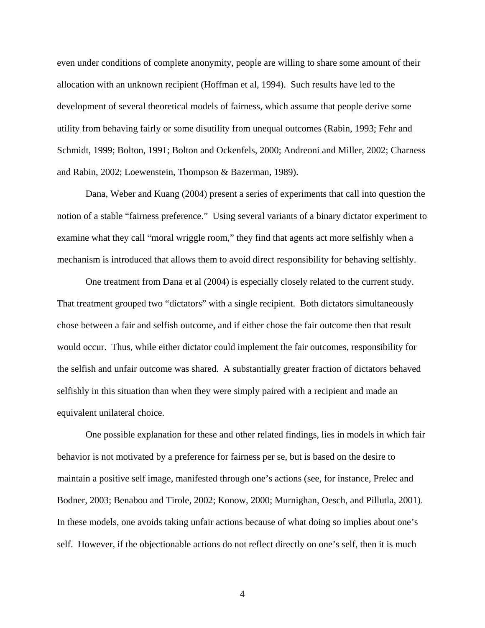even under conditions of complete anonymity, people are willing to share some amount of their allocation with an unknown recipient (Hoffman et al, 1994). Such results have led to the development of several theoretical models of fairness, which assume that people derive some utility from behaving fairly or some disutility from unequal outcomes (Rabin, 1993; Fehr and Schmidt, 1999; Bolton, 1991; Bolton and Ockenfels, 2000; Andreoni and Miller, 2002; Charness and Rabin, 2002; Loewenstein, Thompson & Bazerman, 1989).

 Dana, Weber and Kuang (2004) present a series of experiments that call into question the notion of a stable "fairness preference." Using several variants of a binary dictator experiment to examine what they call "moral wriggle room," they find that agents act more selfishly when a mechanism is introduced that allows them to avoid direct responsibility for behaving selfishly.

 One treatment from Dana et al (2004) is especially closely related to the current study. That treatment grouped two "dictators" with a single recipient. Both dictators simultaneously chose between a fair and selfish outcome, and if either chose the fair outcome then that result would occur. Thus, while either dictator could implement the fair outcomes, responsibility for the selfish and unfair outcome was shared. A substantially greater fraction of dictators behaved selfishly in this situation than when they were simply paired with a recipient and made an equivalent unilateral choice.

 One possible explanation for these and other related findings, lies in models in which fair behavior is not motivated by a preference for fairness per se, but is based on the desire to maintain a positive self image, manifested through one's actions (see, for instance, Prelec and Bodner, 2003; Benabou and Tirole, 2002; Konow, 2000; Murnighan, Oesch, and Pillutla, 2001). In these models, one avoids taking unfair actions because of what doing so implies about one's self. However, if the objectionable actions do not reflect directly on one's self, then it is much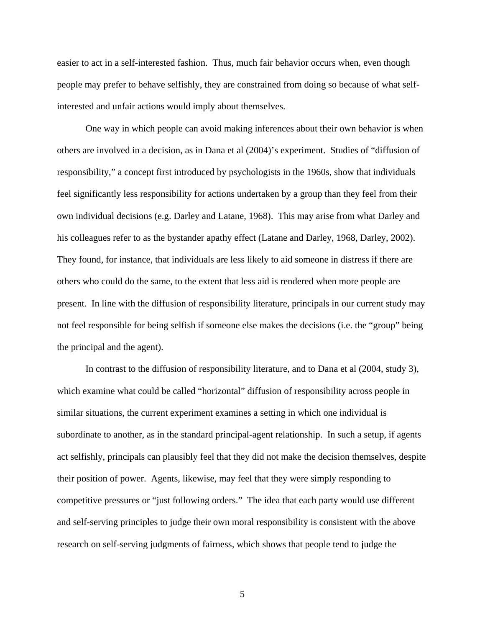easier to act in a self-interested fashion. Thus, much fair behavior occurs when, even though people may prefer to behave selfishly, they are constrained from doing so because of what selfinterested and unfair actions would imply about themselves.

 One way in which people can avoid making inferences about their own behavior is when others are involved in a decision, as in Dana et al (2004)'s experiment. Studies of "diffusion of responsibility," a concept first introduced by psychologists in the 1960s, show that individuals feel significantly less responsibility for actions undertaken by a group than they feel from their own individual decisions (e.g. Darley and Latane, 1968). This may arise from what Darley and his colleagues refer to as the bystander apathy effect (Latane and Darley, 1968, Darley, 2002). They found, for instance, that individuals are less likely to aid someone in distress if there are others who could do the same, to the extent that less aid is rendered when more people are present. In line with the diffusion of responsibility literature, principals in our current study may not feel responsible for being selfish if someone else makes the decisions (i.e. the "group" being the principal and the agent).

 In contrast to the diffusion of responsibility literature, and to Dana et al (2004, study 3), which examine what could be called "horizontal" diffusion of responsibility across people in similar situations, the current experiment examines a setting in which one individual is subordinate to another, as in the standard principal-agent relationship. In such a setup, if agents act selfishly, principals can plausibly feel that they did not make the decision themselves, despite their position of power. Agents, likewise, may feel that they were simply responding to competitive pressures or "just following orders." The idea that each party would use different and self-serving principles to judge their own moral responsibility is consistent with the above research on self-serving judgments of fairness, which shows that people tend to judge the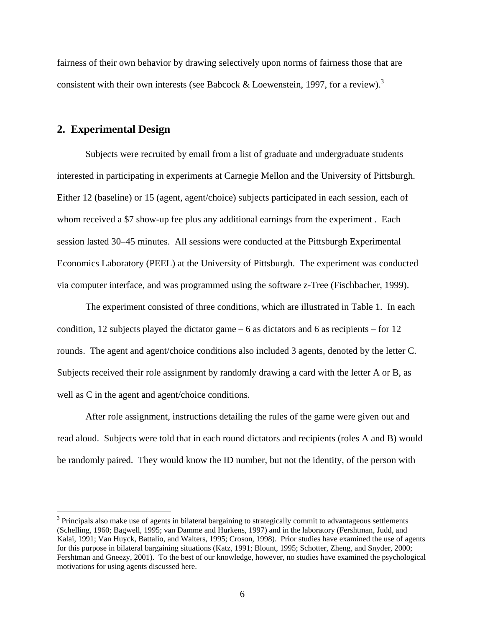fairness of their own behavior by drawing selectively upon norms of fairness those that are consistent with their own interests (see Babcock & Loewenstein, 1997, for a review).<sup>3</sup>

## **2. Experimental Design**

1

 Subjects were recruited by email from a list of graduate and undergraduate students interested in participating in experiments at Carnegie Mellon and the University of Pittsburgh. Either 12 (baseline) or 15 (agent, agent/choice) subjects participated in each session, each of whom received a \$7 show-up fee plus any additional earnings from the experiment . Each session lasted 30–45 minutes. All sessions were conducted at the Pittsburgh Experimental Economics Laboratory (PEEL) at the University of Pittsburgh. The experiment was conducted via computer interface, and was programmed using the software z-Tree (Fischbacher, 1999).

 The experiment consisted of three conditions, which are illustrated in Table 1. In each condition, 12 subjects played the dictator game  $-6$  as dictators and 6 as recipients  $-6$  for 12 rounds. The agent and agent/choice conditions also included 3 agents, denoted by the letter C. Subjects received their role assignment by randomly drawing a card with the letter A or B, as well as C in the agent and agent/choice conditions.

After role assignment, instructions detailing the rules of the game were given out and read aloud. Subjects were told that in each round dictators and recipients (roles A and B) would be randomly paired. They would know the ID number, but not the identity, of the person with

 $3$  Principals also make use of agents in bilateral bargaining to strategically commit to advantageous settlements (Schelling, 1960; Bagwell, 1995; van Damme and Hurkens, 1997) and in the laboratory (Fershtman, Judd, and Kalai, 1991; Van Huyck, Battalio, and Walters, 1995; Croson, 1998). Prior studies have examined the use of agents for this purpose in bilateral bargaining situations (Katz, 1991; Blount, 1995; Schotter, Zheng, and Snyder, 2000; Fershtman and Gneezy, 2001). To the best of our knowledge, however, no studies have examined the psychological motivations for using agents discussed here.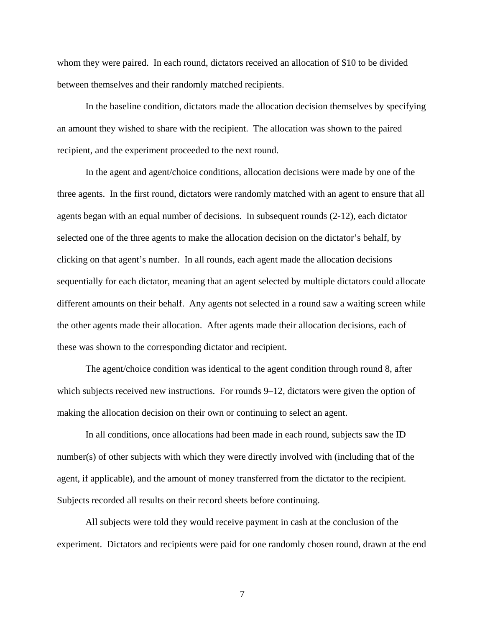whom they were paired. In each round, dictators received an allocation of \$10 to be divided between themselves and their randomly matched recipients.

In the baseline condition, dictators made the allocation decision themselves by specifying an amount they wished to share with the recipient. The allocation was shown to the paired recipient, and the experiment proceeded to the next round.

In the agent and agent/choice conditions, allocation decisions were made by one of the three agents. In the first round, dictators were randomly matched with an agent to ensure that all agents began with an equal number of decisions. In subsequent rounds (2-12), each dictator selected one of the three agents to make the allocation decision on the dictator's behalf, by clicking on that agent's number. In all rounds, each agent made the allocation decisions sequentially for each dictator, meaning that an agent selected by multiple dictators could allocate different amounts on their behalf. Any agents not selected in a round saw a waiting screen while the other agents made their allocation. After agents made their allocation decisions, each of these was shown to the corresponding dictator and recipient.

The agent/choice condition was identical to the agent condition through round 8, after which subjects received new instructions. For rounds 9–12, dictators were given the option of making the allocation decision on their own or continuing to select an agent.

In all conditions, once allocations had been made in each round, subjects saw the ID number(s) of other subjects with which they were directly involved with (including that of the agent, if applicable), and the amount of money transferred from the dictator to the recipient. Subjects recorded all results on their record sheets before continuing.

All subjects were told they would receive payment in cash at the conclusion of the experiment. Dictators and recipients were paid for one randomly chosen round, drawn at the end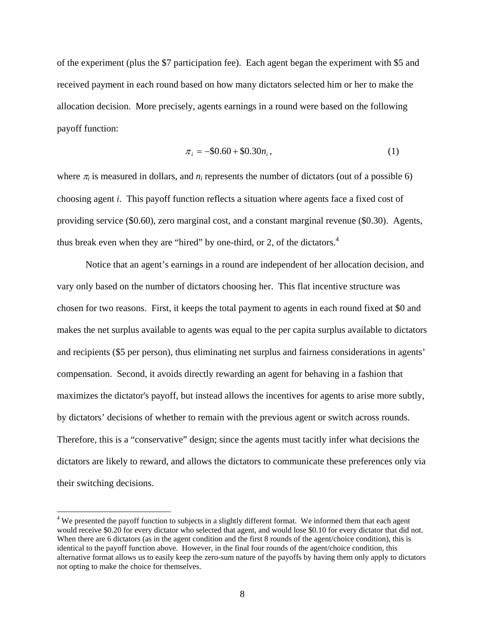of the experiment (plus the \$7 participation fee). Each agent began the experiment with \$5 and received payment in each round based on how many dictators selected him or her to make the allocation decision. More precisely, agents earnings in a round were based on the following payoff function:

$$
\pi_i = -\$0.60 + \$0.30n_i,\tag{1}
$$

where  $\pi_i$  is measured in dollars, and  $n_i$  represents the number of dictators (out of a possible 6) choosing agent *i*. This payoff function reflects a situation where agents face a fixed cost of providing service (\$0.60), zero marginal cost, and a constant marginal revenue (\$0.30). Agents, thus break even when they are "hired" by one-third, or 2, of the dictators.<sup>4</sup>

Notice that an agent's earnings in a round are independent of her allocation decision, and vary only based on the number of dictators choosing her. This flat incentive structure was chosen for two reasons. First, it keeps the total payment to agents in each round fixed at \$0 and makes the net surplus available to agents was equal to the per capita surplus available to dictators and recipients (\$5 per person), thus eliminating net surplus and fairness considerations in agents' compensation. Second, it avoids directly rewarding an agent for behaving in a fashion that maximizes the dictator's payoff, but instead allows the incentives for agents to arise more subtly, by dictators' decisions of whether to remain with the previous agent or switch across rounds. Therefore, this is a "conservative" design; since the agents must tacitly infer what decisions the dictators are likely to reward, and allows the dictators to communicate these preferences only via their switching decisions.

 $\overline{a}$ 

 $4$  We presented the payoff function to subjects in a slightly different format. We informed them that each agent would receive \$0.20 for every dictator who selected that agent, and would lose \$0.10 for every dictator that did not. When there are 6 dictators (as in the agent condition and the first 8 rounds of the agent/choice condition), this is identical to the payoff function above. However, in the final four rounds of the agent/choice condition, this alternative format allows us to easily keep the zero-sum nature of the payoffs by having them only apply to dictators not opting to make the choice for themselves.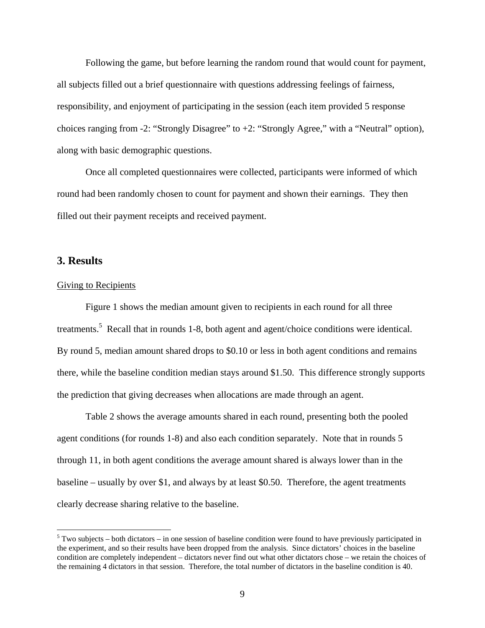Following the game, but before learning the random round that would count for payment, all subjects filled out a brief questionnaire with questions addressing feelings of fairness, responsibility, and enjoyment of participating in the session (each item provided 5 response choices ranging from -2: "Strongly Disagree" to +2: "Strongly Agree," with a "Neutral" option), along with basic demographic questions.

Once all completed questionnaires were collected, participants were informed of which round had been randomly chosen to count for payment and shown their earnings. They then filled out their payment receipts and received payment.

## **3. Results**

 $\overline{a}$ 

## Giving to Recipients

Figure 1 shows the median amount given to recipients in each round for all three treatments.<sup>5</sup> Recall that in rounds 1-8, both agent and agent/choice conditions were identical. By round 5, median amount shared drops to \$0.10 or less in both agent conditions and remains there, while the baseline condition median stays around \$1.50. This difference strongly supports the prediction that giving decreases when allocations are made through an agent.

Table 2 shows the average amounts shared in each round, presenting both the pooled agent conditions (for rounds 1-8) and also each condition separately. Note that in rounds 5 through 11, in both agent conditions the average amount shared is always lower than in the baseline – usually by over \$1, and always by at least \$0.50. Therefore, the agent treatments clearly decrease sharing relative to the baseline.

 $5$  Two subjects – both dictators – in one session of baseline condition were found to have previously participated in the experiment, and so their results have been dropped from the analysis. Since dictators' choices in the baseline condition are completely independent – dictators never find out what other dictators chose – we retain the choices of the remaining 4 dictators in that session. Therefore, the total number of dictators in the baseline condition is 40.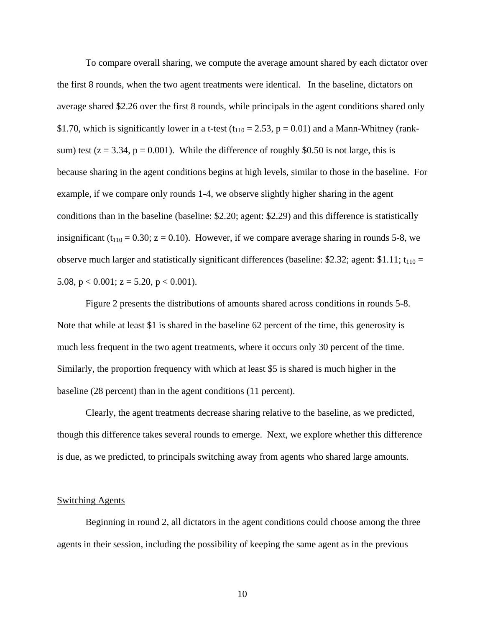To compare overall sharing, we compute the average amount shared by each dictator over the first 8 rounds, when the two agent treatments were identical. In the baseline, dictators on average shared \$2.26 over the first 8 rounds, while principals in the agent conditions shared only \$1.70, which is significantly lower in a t-test ( $t_{110} = 2.53$ ,  $p = 0.01$ ) and a Mann-Whitney (ranksum) test ( $z = 3.34$ ,  $p = 0.001$ ). While the difference of roughly \$0.50 is not large, this is because sharing in the agent conditions begins at high levels, similar to those in the baseline. For example, if we compare only rounds 1-4, we observe slightly higher sharing in the agent conditions than in the baseline (baseline: \$2.20; agent: \$2.29) and this difference is statistically insignificant ( $t_{110} = 0.30$ ;  $z = 0.10$ ). However, if we compare average sharing in rounds 5-8, we observe much larger and statistically significant differences (baseline: \$2.32; agent: \$1.11;  $t_{110}$  = 5.08,  $p < 0.001$ ;  $z = 5.20$ ,  $p < 0.001$ ).

Figure 2 presents the distributions of amounts shared across conditions in rounds 5-8. Note that while at least \$1 is shared in the baseline 62 percent of the time, this generosity is much less frequent in the two agent treatments, where it occurs only 30 percent of the time. Similarly, the proportion frequency with which at least \$5 is shared is much higher in the baseline (28 percent) than in the agent conditions (11 percent).

Clearly, the agent treatments decrease sharing relative to the baseline, as we predicted, though this difference takes several rounds to emerge. Next, we explore whether this difference is due, as we predicted, to principals switching away from agents who shared large amounts.

### Switching Agents

 Beginning in round 2, all dictators in the agent conditions could choose among the three agents in their session, including the possibility of keeping the same agent as in the previous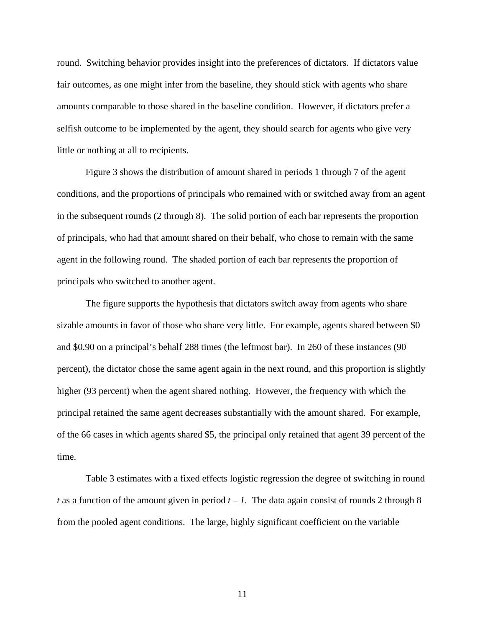round. Switching behavior provides insight into the preferences of dictators. If dictators value fair outcomes, as one might infer from the baseline, they should stick with agents who share amounts comparable to those shared in the baseline condition. However, if dictators prefer a selfish outcome to be implemented by the agent, they should search for agents who give very little or nothing at all to recipients.

 Figure 3 shows the distribution of amount shared in periods 1 through 7 of the agent conditions, and the proportions of principals who remained with or switched away from an agent in the subsequent rounds (2 through 8). The solid portion of each bar represents the proportion of principals, who had that amount shared on their behalf, who chose to remain with the same agent in the following round. The shaded portion of each bar represents the proportion of principals who switched to another agent.

 The figure supports the hypothesis that dictators switch away from agents who share sizable amounts in favor of those who share very little. For example, agents shared between \$0 and \$0.90 on a principal's behalf 288 times (the leftmost bar). In 260 of these instances (90 percent), the dictator chose the same agent again in the next round, and this proportion is slightly higher (93 percent) when the agent shared nothing. However, the frequency with which the principal retained the same agent decreases substantially with the amount shared. For example, of the 66 cases in which agents shared \$5, the principal only retained that agent 39 percent of the time.

 Table 3 estimates with a fixed effects logistic regression the degree of switching in round *t* as a function of the amount given in period  $t - 1$ . The data again consist of rounds 2 through 8 from the pooled agent conditions. The large, highly significant coefficient on the variable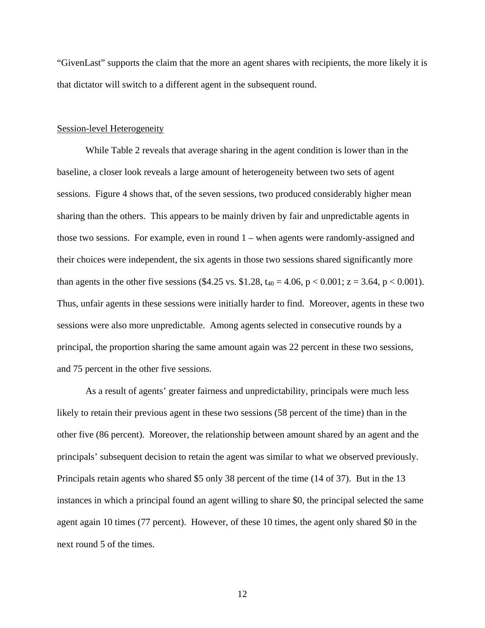"GivenLast" supports the claim that the more an agent shares with recipients, the more likely it is that dictator will switch to a different agent in the subsequent round.

#### Session-level Heterogeneity

While Table 2 reveals that average sharing in the agent condition is lower than in the baseline, a closer look reveals a large amount of heterogeneity between two sets of agent sessions. Figure 4 shows that, of the seven sessions, two produced considerably higher mean sharing than the others. This appears to be mainly driven by fair and unpredictable agents in those two sessions. For example, even in round 1 – when agents were randomly-assigned and their choices were independent, the six agents in those two sessions shared significantly more than agents in the other five sessions (\$4.25 vs. \$1.28,  $t_{40} = 4.06$ , p < 0.001; z = 3.64, p < 0.001). Thus, unfair agents in these sessions were initially harder to find. Moreover, agents in these two sessions were also more unpredictable. Among agents selected in consecutive rounds by a principal, the proportion sharing the same amount again was 22 percent in these two sessions, and 75 percent in the other five sessions.

As a result of agents' greater fairness and unpredictability, principals were much less likely to retain their previous agent in these two sessions (58 percent of the time) than in the other five (86 percent). Moreover, the relationship between amount shared by an agent and the principals' subsequent decision to retain the agent was similar to what we observed previously. Principals retain agents who shared \$5 only 38 percent of the time (14 of 37). But in the 13 instances in which a principal found an agent willing to share \$0, the principal selected the same agent again 10 times (77 percent). However, of these 10 times, the agent only shared \$0 in the next round 5 of the times.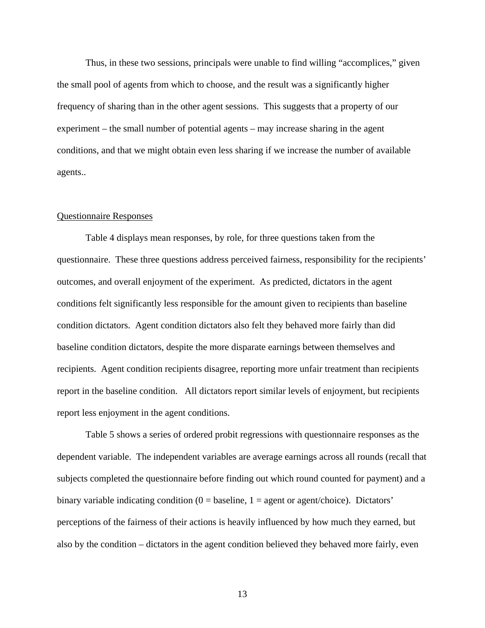Thus, in these two sessions, principals were unable to find willing "accomplices," given the small pool of agents from which to choose, and the result was a significantly higher frequency of sharing than in the other agent sessions. This suggests that a property of our experiment – the small number of potential agents – may increase sharing in the agent conditions, and that we might obtain even less sharing if we increase the number of available agents..

#### Questionnaire Responses

 Table 4 displays mean responses, by role, for three questions taken from the questionnaire. These three questions address perceived fairness, responsibility for the recipients' outcomes, and overall enjoyment of the experiment. As predicted, dictators in the agent conditions felt significantly less responsible for the amount given to recipients than baseline condition dictators. Agent condition dictators also felt they behaved more fairly than did baseline condition dictators, despite the more disparate earnings between themselves and recipients. Agent condition recipients disagree, reporting more unfair treatment than recipients report in the baseline condition. All dictators report similar levels of enjoyment, but recipients report less enjoyment in the agent conditions.

 Table 5 shows a series of ordered probit regressions with questionnaire responses as the dependent variable. The independent variables are average earnings across all rounds (recall that subjects completed the questionnaire before finding out which round counted for payment) and a binary variable indicating condition  $(0 = \text{baseline}, 1 = \text{agent} \text{ or agent/choice})$ . Dictators' perceptions of the fairness of their actions is heavily influenced by how much they earned, but also by the condition – dictators in the agent condition believed they behaved more fairly, even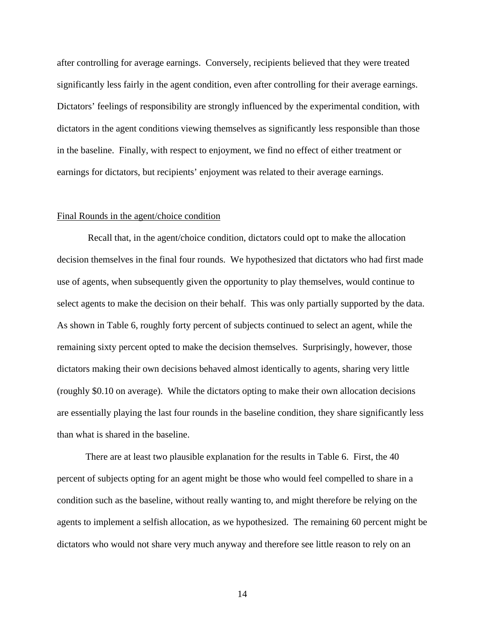after controlling for average earnings. Conversely, recipients believed that they were treated significantly less fairly in the agent condition, even after controlling for their average earnings. Dictators' feelings of responsibility are strongly influenced by the experimental condition, with dictators in the agent conditions viewing themselves as significantly less responsible than those in the baseline. Finally, with respect to enjoyment, we find no effect of either treatment or earnings for dictators, but recipients' enjoyment was related to their average earnings.

### Final Rounds in the agent/choice condition

 Recall that, in the agent/choice condition, dictators could opt to make the allocation decision themselves in the final four rounds. We hypothesized that dictators who had first made use of agents, when subsequently given the opportunity to play themselves, would continue to select agents to make the decision on their behalf. This was only partially supported by the data. As shown in Table 6, roughly forty percent of subjects continued to select an agent, while the remaining sixty percent opted to make the decision themselves. Surprisingly, however, those dictators making their own decisions behaved almost identically to agents, sharing very little (roughly \$0.10 on average). While the dictators opting to make their own allocation decisions are essentially playing the last four rounds in the baseline condition, they share significantly less than what is shared in the baseline.

There are at least two plausible explanation for the results in Table 6. First, the 40 percent of subjects opting for an agent might be those who would feel compelled to share in a condition such as the baseline, without really wanting to, and might therefore be relying on the agents to implement a selfish allocation, as we hypothesized. The remaining 60 percent might be dictators who would not share very much anyway and therefore see little reason to rely on an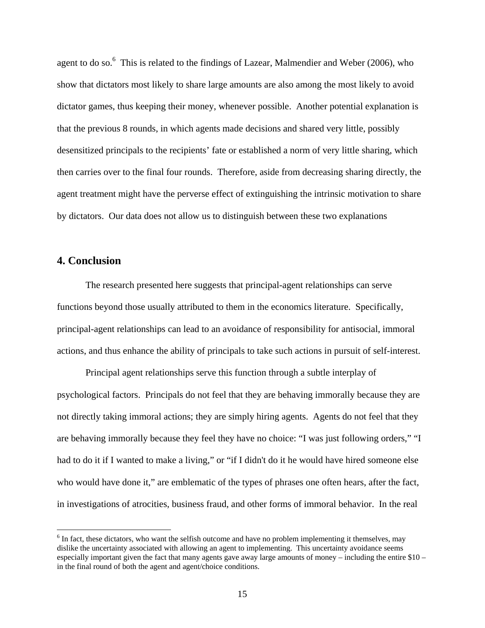agent to do so.<sup>6</sup> This is related to the findings of Lazear, Malmendier and Weber (2006), who show that dictators most likely to share large amounts are also among the most likely to avoid dictator games, thus keeping their money, whenever possible. Another potential explanation is that the previous 8 rounds, in which agents made decisions and shared very little, possibly desensitized principals to the recipients' fate or established a norm of very little sharing, which then carries over to the final four rounds. Therefore, aside from decreasing sharing directly, the agent treatment might have the perverse effect of extinguishing the intrinsic motivation to share by dictators. Our data does not allow us to distinguish between these two explanations

## **4. Conclusion**

 $\overline{a}$ 

 The research presented here suggests that principal-agent relationships can serve functions beyond those usually attributed to them in the economics literature. Specifically, principal-agent relationships can lead to an avoidance of responsibility for antisocial, immoral actions, and thus enhance the ability of principals to take such actions in pursuit of self-interest.

 Principal agent relationships serve this function through a subtle interplay of psychological factors. Principals do not feel that they are behaving immorally because they are not directly taking immoral actions; they are simply hiring agents. Agents do not feel that they are behaving immorally because they feel they have no choice: "I was just following orders," "I had to do it if I wanted to make a living," or "if I didn't do it he would have hired someone else who would have done it," are emblematic of the types of phrases one often hears, after the fact, in investigations of atrocities, business fraud, and other forms of immoral behavior. In the real

<sup>&</sup>lt;sup>6</sup> In fact, these dictators, who want the selfish outcome and have no problem implementing it themselves, may dislike the uncertainty associated with allowing an agent to implementing. This uncertainty avoidance seems especially important given the fact that many agents gave away large amounts of money – including the entire \$10 – in the final round of both the agent and agent/choice conditions.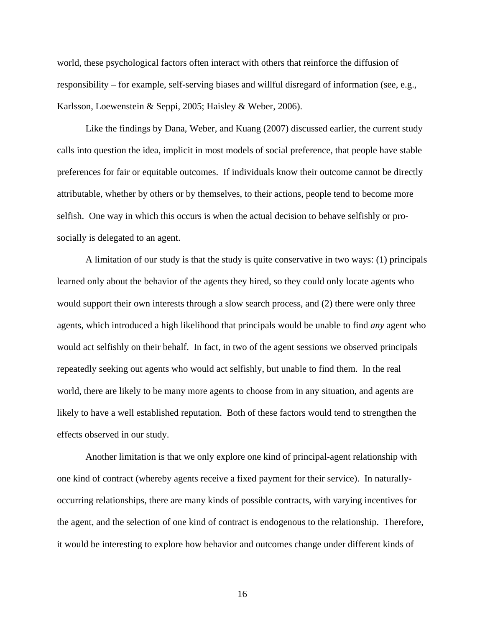world, these psychological factors often interact with others that reinforce the diffusion of responsibility – for example, self-serving biases and willful disregard of information (see, e.g., Karlsson, Loewenstein & Seppi, 2005; Haisley & Weber, 2006).

 Like the findings by Dana, Weber, and Kuang (2007) discussed earlier, the current study calls into question the idea, implicit in most models of social preference, that people have stable preferences for fair or equitable outcomes. If individuals know their outcome cannot be directly attributable, whether by others or by themselves, to their actions, people tend to become more selfish. One way in which this occurs is when the actual decision to behave selfishly or prosocially is delegated to an agent.

 A limitation of our study is that the study is quite conservative in two ways: (1) principals learned only about the behavior of the agents they hired, so they could only locate agents who would support their own interests through a slow search process, and (2) there were only three agents, which introduced a high likelihood that principals would be unable to find *any* agent who would act selfishly on their behalf. In fact, in two of the agent sessions we observed principals repeatedly seeking out agents who would act selfishly, but unable to find them. In the real world, there are likely to be many more agents to choose from in any situation, and agents are likely to have a well established reputation. Both of these factors would tend to strengthen the effects observed in our study.

Another limitation is that we only explore one kind of principal-agent relationship with one kind of contract (whereby agents receive a fixed payment for their service). In naturallyoccurring relationships, there are many kinds of possible contracts, with varying incentives for the agent, and the selection of one kind of contract is endogenous to the relationship. Therefore, it would be interesting to explore how behavior and outcomes change under different kinds of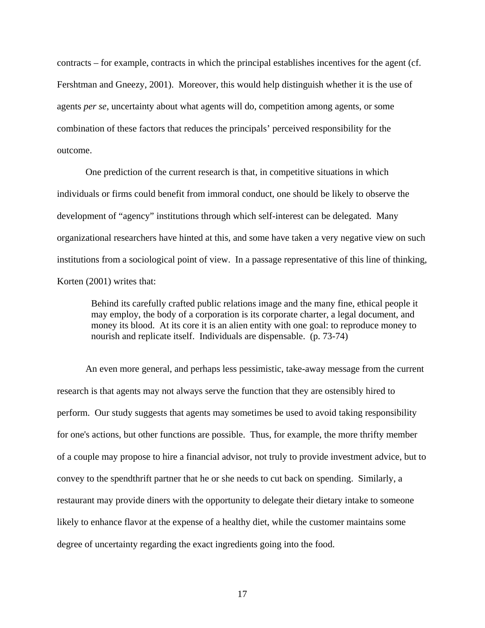contracts – for example, contracts in which the principal establishes incentives for the agent (cf. Fershtman and Gneezy, 2001). Moreover, this would help distinguish whether it is the use of agents *per se*, uncertainty about what agents will do, competition among agents, or some combination of these factors that reduces the principals' perceived responsibility for the outcome.

 One prediction of the current research is that, in competitive situations in which individuals or firms could benefit from immoral conduct, one should be likely to observe the development of "agency" institutions through which self-interest can be delegated. Many organizational researchers have hinted at this, and some have taken a very negative view on such institutions from a sociological point of view. In a passage representative of this line of thinking, Korten (2001) writes that:

Behind its carefully crafted public relations image and the many fine, ethical people it may employ, the body of a corporation is its corporate charter, a legal document, and money its blood. At its core it is an alien entity with one goal: to reproduce money to nourish and replicate itself. Individuals are dispensable. (p. 73-74)

An even more general, and perhaps less pessimistic, take-away message from the current research is that agents may not always serve the function that they are ostensibly hired to perform. Our study suggests that agents may sometimes be used to avoid taking responsibility for one's actions, but other functions are possible. Thus, for example, the more thrifty member of a couple may propose to hire a financial advisor, not truly to provide investment advice, but to convey to the spendthrift partner that he or she needs to cut back on spending. Similarly, a restaurant may provide diners with the opportunity to delegate their dietary intake to someone likely to enhance flavor at the expense of a healthy diet, while the customer maintains some degree of uncertainty regarding the exact ingredients going into the food.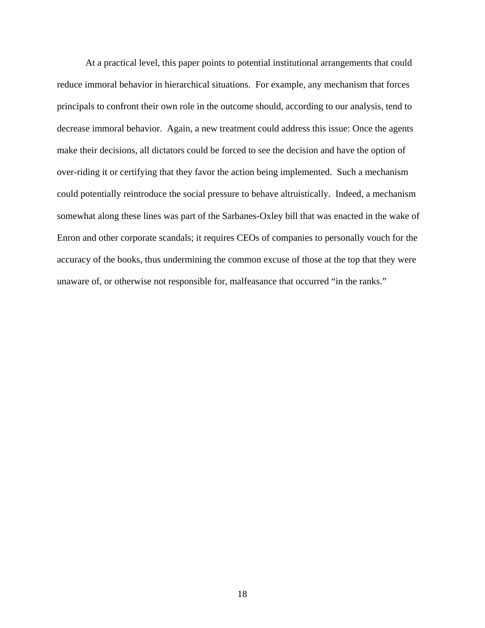At a practical level, this paper points to potential institutional arrangements that could reduce immoral behavior in hierarchical situations. For example, any mechanism that forces principals to confront their own role in the outcome should, according to our analysis, tend to decrease immoral behavior. Again, a new treatment could address this issue: Once the agents make their decisions, all dictators could be forced to see the decision and have the option of over-riding it or certifying that they favor the action being implemented. Such a mechanism could potentially reintroduce the social pressure to behave altruistically. Indeed, a mechanism somewhat along these lines was part of the Sarbanes-Oxley bill that was enacted in the wake of Enron and other corporate scandals; it requires CEOs of companies to personally vouch for the accuracy of the books, thus undermining the common excuse of those at the top that they were unaware of, or otherwise not responsible for, malfeasance that occurred "in the ranks."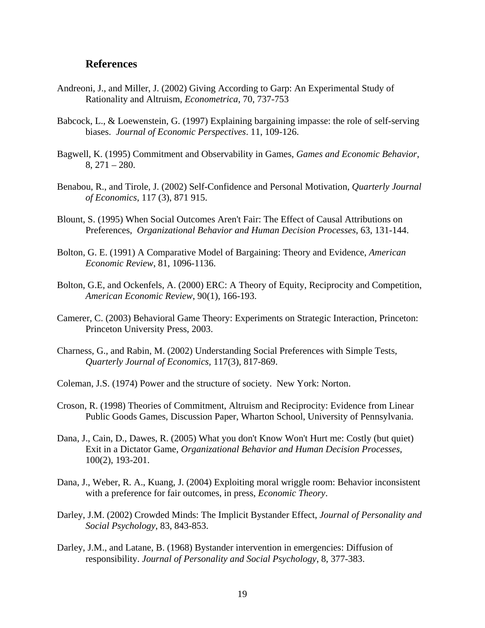## **References**

- Andreoni, J., and Miller, J. (2002) Giving According to Garp: An Experimental Study of Rationality and Altruism, *Econometrica*, 70, 737-753
- Babcock, L., & Loewenstein, G. (1997) Explaining bargaining impasse: the role of self-serving biases. *Journal of Economic Perspectives*. 11, 109-126.
- Bagwell, K. (1995) Commitment and Observability in Games, *Games and Economic Behavior*, 8, 271 – 280.
- Benabou, R., and Tirole, J. (2002) Self-Confidence and Personal Motivation, *Quarterly Journal of Economics*, 117 (3), 871 915.
- Blount, S. (1995) When Social Outcomes Aren't Fair: The Effect of Causal Attributions on Preferences, *Organizational Behavior and Human Decision Processes*, 63, 131-144.
- Bolton, G. E. (1991) A Comparative Model of Bargaining: Theory and Evidence, *American Economic Review*, 81, 1096-1136.
- Bolton, G.E, and Ockenfels, A. (2000) ERC: A Theory of Equity, Reciprocity and Competition, *American Economic Review*, 90(1), 166-193.
- Camerer, C. (2003) Behavioral Game Theory: Experiments on Strategic Interaction, Princeton: Princeton University Press, 2003.
- Charness, G., and Rabin, M. (2002) Understanding Social Preferences with Simple Tests, *Quarterly Journal of Economics,* 117(3), 817-869.
- Coleman, J.S. (1974) Power and the structure of society. New York: Norton.
- Croson, R. (1998) Theories of Commitment, Altruism and Reciprocity: Evidence from Linear Public Goods Games, Discussion Paper, Wharton School, University of Pennsylvania.
- Dana, J., Cain, D., Dawes, R. (2005) What you don't Know Won't Hurt me: Costly (but quiet) Exit in a Dictator Game, *Organizational Behavior and Human Decision Processes*, 100(2), 193-201.
- Dana, J., Weber, R. A., Kuang, J. (2004) Exploiting moral wriggle room: Behavior inconsistent with a preference for fair outcomes, in press, *Economic Theory*.
- Darley, J.M. (2002) Crowded Minds: The Implicit Bystander Effect, *Journal of Personality and Social Psychology*, 83, 843-853.
- Darley, J.M., and Latane, B. (1968) Bystander intervention in emergencies: Diffusion of responsibility. *Journal of Personality and Social Psychology*, 8, 377-383.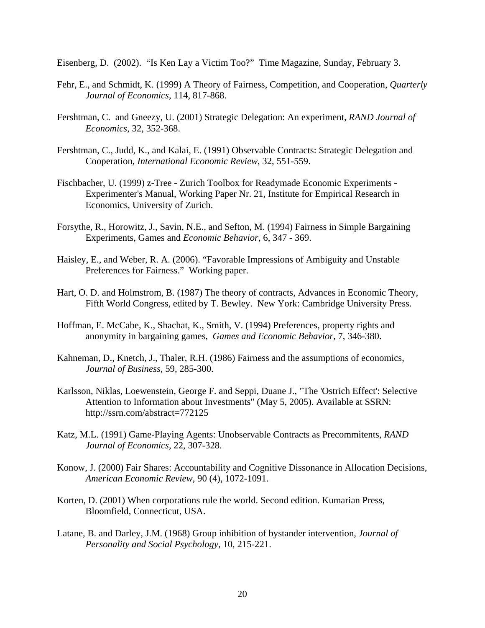Eisenberg, D. (2002). "Is Ken Lay a Victim Too?" Time Magazine, Sunday, February 3.

- Fehr, E., and Schmidt, K. (1999) A Theory of Fairness, Competition, and Cooperation, *Quarterly Journal of Economics*, 114, 817-868.
- Fershtman, C. and Gneezy, U. (2001) Strategic Delegation: An experiment, *RAND Journal of Economics*, 32, 352-368.
- Fershtman, C., Judd, K., and Kalai, E. (1991) Observable Contracts: Strategic Delegation and Cooperation, *International Economic Review*, 32, 551-559.
- Fischbacher, U. (1999) z-Tree Zurich Toolbox for Readymade Economic Experiments Experimenter's Manual, Working Paper Nr. 21, Institute for Empirical Research in Economics, University of Zurich.
- Forsythe, R., Horowitz, J., Savin, N.E., and Sefton, M. (1994) Fairness in Simple Bargaining Experiments, Games and *Economic Behavior*, 6, 347 - 369.
- Haisley, E., and Weber, R. A. (2006). "Favorable Impressions of Ambiguity and Unstable Preferences for Fairness." Working paper.
- Hart, O. D. and Holmstrom, B. (1987) The theory of contracts, Advances in Economic Theory, Fifth World Congress, edited by T. Bewley. New York: Cambridge University Press.
- Hoffman, E. McCabe, K., Shachat, K., Smith, V. (1994) Preferences, property rights and anonymity in bargaining games, *Games and Economic Behavior*, 7, 346-380.
- Kahneman, D., Knetch, J., Thaler, R.H. (1986) Fairness and the assumptions of economics, *Journal of Business*, 59, 285-300.
- Karlsson, Niklas, Loewenstein, George F. and Seppi, Duane J., "The 'Ostrich Effect': Selective Attention to Information about Investments" (May 5, 2005). Available at SSRN: http://ssrn.com/abstract=772125
- Katz, M.L. (1991) Game-Playing Agents: Unobservable Contracts as Precommitents, *RAND Journal of Economics*, 22, 307-328.
- Konow, J. (2000) Fair Shares: Accountability and Cognitive Dissonance in Allocation Decisions, *American Economic Review*, 90 (4), 1072-1091.
- Korten, D. (2001) When corporations rule the world. Second edition. Kumarian Press, Bloomfield, Connecticut, USA.
- Latane, B. and Darley, J.M. (1968) Group inhibition of bystander intervention, *Journal of Personality and Social Psychology*, 10, 215-221.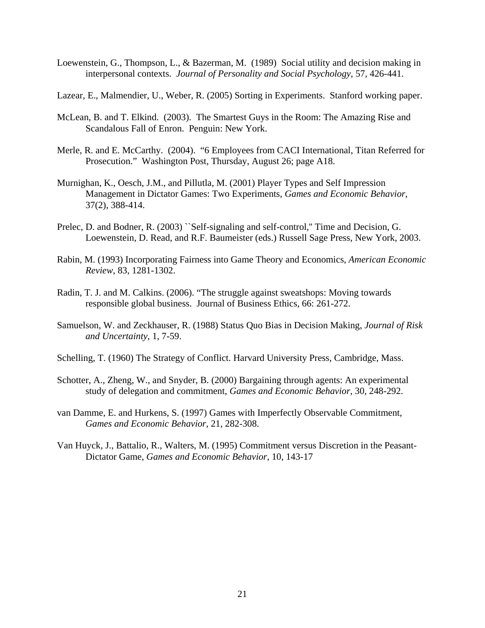- Loewenstein, G., Thompson, L., & Bazerman, M. (1989) Social utility and decision making in interpersonal contexts. *Journal of Personality and Social Psychology*, 57, 426-441.
- Lazear, E., Malmendier, U., Weber, R. (2005) Sorting in Experiments. Stanford working paper.
- McLean, B. and T. Elkind. (2003). The Smartest Guys in the Room: The Amazing Rise and Scandalous Fall of Enron. Penguin: New York.
- Merle, R. and E. McCarthy. (2004). "6 Employees from CACI International, Titan Referred for Prosecution." Washington Post, Thursday, August 26; page A18.
- Murnighan, K., Oesch, J.M., and Pillutla, M. (2001) Player Types and Self Impression Management in Dictator Games: Two Experiments, *Games and Economic Behavior*, 37(2), 388-414.
- Prelec, D. and Bodner, R. (2003) "Self-signaling and self-control," Time and Decision, G. Loewenstein, D. Read, and R.F. Baumeister (eds.) Russell Sage Press, New York, 2003.
- Rabin, M. (1993) Incorporating Fairness into Game Theory and Economics, *American Economic Review,* 83, 1281-1302.
- Radin, T. J. and M. Calkins. (2006). "The struggle against sweatshops: Moving towards responsible global business. Journal of Business Ethics, 66: 261-272.
- Samuelson, W. and Zeckhauser, R. (1988) Status Quo Bias in Decision Making, *Journal of Risk and Uncertainty*, 1, 7-59.
- Schelling, T. (1960) The Strategy of Conflict. Harvard University Press, Cambridge, Mass.
- Schotter, A., Zheng, W., and Snyder, B. (2000) Bargaining through agents: An experimental study of delegation and commitment, *Games and Economic Behavior*, 30, 248-292.
- van Damme, E. and Hurkens, S. (1997) Games with Imperfectly Observable Commitment, *Games and Economic Behavior*, 21, 282-308.
- Van Huyck, J., Battalio, R., Walters, M. (1995) Commitment versus Discretion in the Peasant-Dictator Game, *Games and Economic Behavior*, 10, 143-17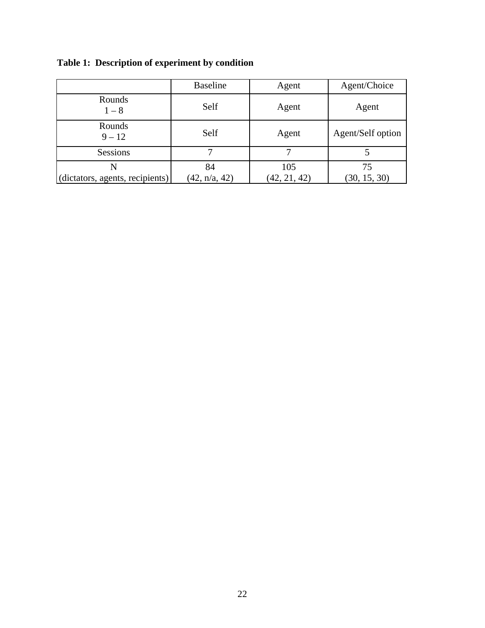|                                 | <b>Baseline</b> | Agent        | Agent/Choice      |
|---------------------------------|-----------------|--------------|-------------------|
| Rounds<br>$1 - 8$               | Self            | Agent        | Agent             |
| Rounds<br>$9 - 12$              | Self            | Agent        | Agent/Self option |
| Sessions                        |                 |              |                   |
| N                               | 84              | 105          | 75                |
| (dictators, agents, recipients) | (42, n/a, 42)   | (42, 21, 42) | (30, 15, 30)      |

**Table 1: Description of experiment by condition**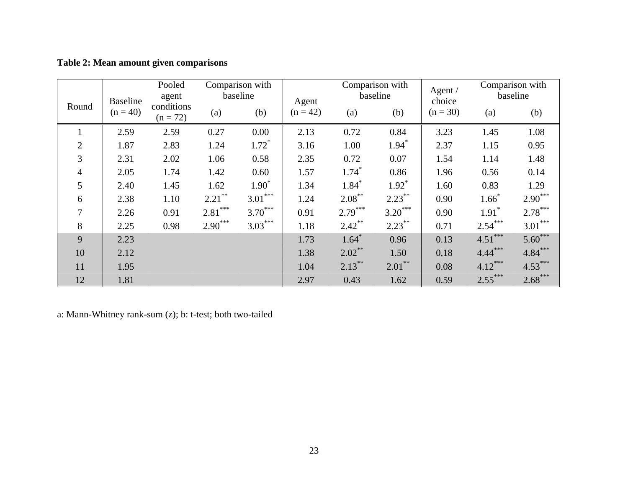|  |  | Table 2: Mean amount given comparisons |
|--|--|----------------------------------------|

|                | <b>Baseline</b> | Pooled<br>agent          |           | Comparison with<br>baseline | Agent      |                     | Comparison with<br>baseline | Agent $/$<br>choice |           | Comparison with<br>baseline |
|----------------|-----------------|--------------------------|-----------|-----------------------------|------------|---------------------|-----------------------------|---------------------|-----------|-----------------------------|
| Round          | $(n = 40)$      | conditions<br>$(n = 72)$ | (a)       | (b)                         | $(n = 42)$ | (a)                 | (b)                         | $(n = 30)$          | (a)       | (b)                         |
|                | 2.59            | 2.59                     | 0.27      | 0.00                        | 2.13       | 0.72                | 0.84                        | 3.23                | 1.45      | 1.08                        |
| $\overline{2}$ | 1.87            | 2.83                     | 1.24      | $1.72$ <sup>*</sup>         | 3.16       | 1.00                | $1.94*$                     | 2.37                | 1.15      | 0.95                        |
| 3              | 2.31            | 2.02                     | 1.06      | 0.58                        | 2.35       | 0.72                | 0.07                        | 1.54                | 1.14      | 1.48                        |
| $\overline{4}$ | 2.05            | 1.74                     | 1.42      | 0.60                        | 1.57       | $1.74$ <sup>*</sup> | 0.86                        | 1.96                | 0.56      | 0.14                        |
| 5              | 2.40            | 1.45                     | 1.62      | $1.90*$                     | 1.34       | $1.84$ <sup>*</sup> | $1.92*$                     | 1.60                | 0.83      | 1.29                        |
| 6              | 2.38            | 1.10                     | $2.21***$ | $3.01***$                   | 1.24       | $2.08***$           | $2.23***$                   | 0.90                | $1.66*$   | $2.90***$                   |
| $\overline{7}$ | 2.26            | 0.91                     | $2.81***$ | $3.70***$                   | 0.91       | $2.79***$           | $3.20***$                   | 0.90                | $1.91*$   | $2.78***$                   |
| 8              | 2.25            | 0.98                     | $2.90***$ | $3.03***$                   | 1.18       | $2.42***$           | $2.23***$                   | 0.71                | $2.54***$ | $3.01***$                   |
| 9              | 2.23            |                          |           |                             | 1.73       | $1.64*$             | 0.96                        | 0.13                | $4.51***$ | $5.60***$                   |
| 10             | 2.12            |                          |           |                             | 1.38       | $2.02***$           | 1.50                        | 0.18                | $4.44***$ | $4.84***$                   |
| 11             | 1.95            |                          |           |                             | 1.04       | $2.13***$           | $2.01***$                   | 0.08                | $4.12***$ | $4.53***$                   |
| 12             | 1.81            |                          |           |                             | 2.97       | 0.43                | 1.62                        | 0.59                | $2.55***$ | $2.68***$                   |

a: Mann-Whitney rank-sum (z); b: t-test; both two-tailed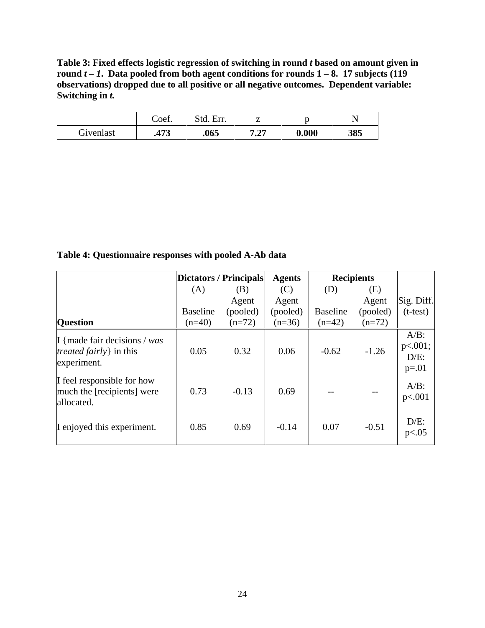**Table 3: Fixed effects logistic regression of switching in round** *t* **based on amount given in round** *t – 1***. Data pooled from both agent conditions for rounds 1 – 8. 17 subjects (119 observations) dropped due to all positive or all negative outcomes. Dependent variable: Switching in** *t.* 

|           | Coef.  | Std.<br>Err. |              |       |     |
|-----------|--------|--------------|--------------|-------|-----|
| Givenlast | 97 I J | .065         | 7. 97<br>، گ | 0.000 | 385 |

**Table 4: Questionnaire responses with pooled A-Ab data** 

|                                                                                     | Dictators / Principals |          | <b>Agents</b> | <b>Recipients</b> |          |                                          |
|-------------------------------------------------------------------------------------|------------------------|----------|---------------|-------------------|----------|------------------------------------------|
|                                                                                     | (A)                    | (B)      | (C)           | (D)               | (E)      |                                          |
|                                                                                     |                        | Agent    | Agent         |                   | Agent    | Sig. Diff.                               |
|                                                                                     | <b>Baseline</b>        | (pooled) | (pooled)      | <b>Baseline</b>   | (pooled) | $(t-test)$                               |
| <b>Question</b>                                                                     | $(n=40)$               | $(n=72)$ | $(n=36)$      | $(n=42)$          | $(n=72)$ |                                          |
| I {made fair decisions $\sqrt{was}$<br><i>treated fairly</i> in this<br>experiment. | 0.05                   | 0.32     | 0.06          | $-0.62$           | $-1.26$  | $A/B$ :<br>p<.001;<br>$D/E$ :<br>$p=.01$ |
| If feel responsible for how<br>much the [recipients] were<br>allocated.             | 0.73                   | $-0.13$  | 0.69          |                   |          | $A/B$ :<br>p<.001                        |
| I enjoyed this experiment.                                                          | 0.85                   | 0.69     | $-0.14$       | 0.07              | $-0.51$  | $D/E$ :<br>p<.05                         |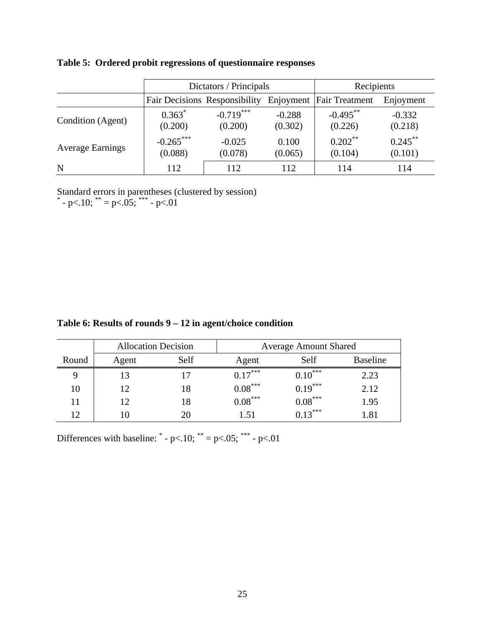|                         |                        | Dictators / Principals               | Recipients          |                        |                       |
|-------------------------|------------------------|--------------------------------------|---------------------|------------------------|-----------------------|
|                         |                        | <b>Fair Decisions Responsibility</b> | Enjoyment           | <b>Fair Treatment</b>  | Enjoyment             |
| Condition (Agent)       | $0.363*$<br>(0.200)    | $-0.719***$<br>(0.200)               | $-0.288$<br>(0.302) | $-0.495***$<br>(0.226) | $-0.332$<br>(0.218)   |
| <b>Average Earnings</b> | $-0.265***$<br>(0.088) | $-0.025$<br>(0.078)                  | 0.100<br>(0.065)    | $0.202***$<br>(0.104)  | $0.245***$<br>(0.101) |
| N                       | 112                    | 112                                  | 112                 | 114                    | 114                   |

**Table 5: Ordered probit regressions of questionnaire responses** 

Standard errors in parentheses (clustered by session)<br>  $* - p < .10$ ;  $* = p < .05$ ;  $* * > p < .01$ 

| Table 6: Results of rounds $9 - 12$ in agent/choice condition |  |  |
|---------------------------------------------------------------|--|--|
|---------------------------------------------------------------|--|--|

|       | <b>Allocation Decision</b> |      | <b>Average Amount Shared</b> |              |          |
|-------|----------------------------|------|------------------------------|--------------|----------|
| Round | Agent                      | Self | Agent                        | Self         | Baseline |
|       | 13                         | 17   | $0.17$ <sup>***</sup>        | $0.10^{***}$ | 2.23     |
| 10    | 12                         | 18   | $0.08^{***}$                 | $0.19***$    | 2.12     |
|       | 12                         | 18   | $0.08^{***}$                 | $0.08^{***}$ | 1.95     |
| 12    | 10                         | 20   | 1.51                         | $0.13***$    | 1.81     |

Differences with baseline:  $* - p < .10$ ;  $* = p < .05$ ;  $* * - p < .01$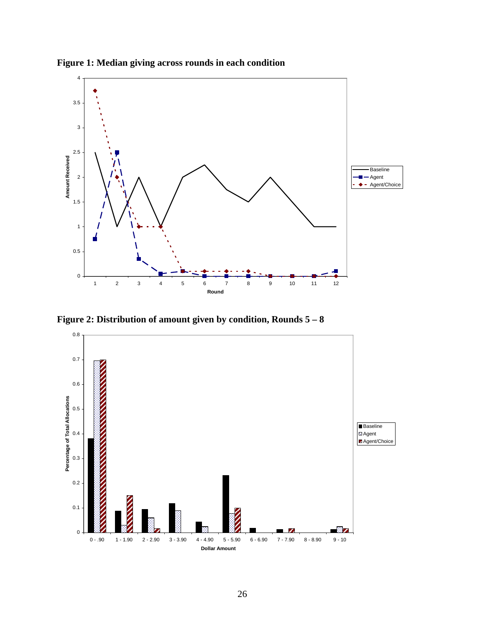

**Figure 1: Median giving across rounds in each condition** 

**Figure 2: Distribution of amount given by condition, Rounds 5 – 8**